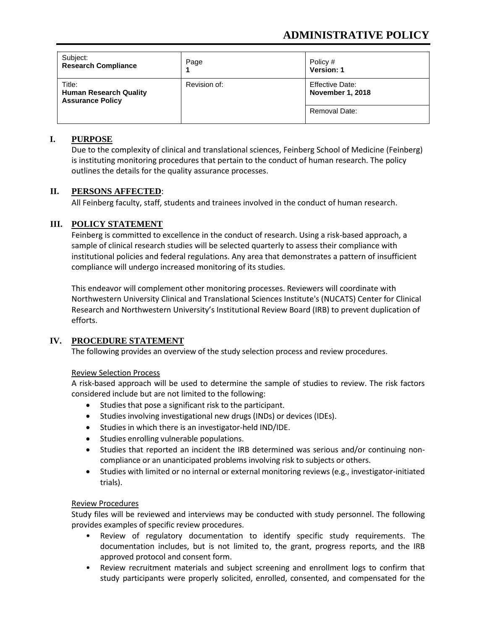# **ADMINISTRATIVE POLICY**

| Subject:<br><b>Research Compliance</b>                             | Page         | Policy #<br><b>Version: 1</b>                     |
|--------------------------------------------------------------------|--------------|---------------------------------------------------|
| Title:<br><b>Human Research Quality</b><br><b>Assurance Policy</b> | Revision of: | <b>Effective Date:</b><br><b>November 1, 2018</b> |
|                                                                    |              | Removal Date:                                     |

## **I. PURPOSE**

Due to the complexity of clinical and translational sciences, Feinberg School of Medicine (Feinberg) is instituting monitoring procedures that pertain to the conduct of human research. The policy outlines the details for the quality assurance processes.

## **II. PERSONS AFFECTED**:

All Feinberg faculty, staff, students and trainees involved in the conduct of human research.

# **III. POLICY STATEMENT**

Feinberg is committed to excellence in the conduct of research. Using a risk-based approach, a sample of clinical research studies will be selected quarterly to assess their compliance with institutional policies and federal regulations. Any area that demonstrates a pattern of insufficient compliance will undergo increased monitoring of its studies.

This endeavor will complement other monitoring processes. Reviewers will coordinate with Northwestern University Clinical and Translational Sciences Institute's (NUCATS) Center for Clinical Research and Northwestern University's Institutional Review Board (IRB) to prevent duplication of efforts.

# **IV. PROCEDURE STATEMENT**

The following provides an overview of the study selection process and review procedures.

# Review Selection Process

A risk-based approach will be used to determine the sample of studies to review. The risk factors considered include but are not limited to the following:

- Studies that pose a significant risk to the participant.
- Studies involving investigational new drugs (INDs) or devices (IDEs).
- Studies in which there is an investigator-held IND/IDE.
- Studies enrolling vulnerable populations.
- Studies that reported an incident the IRB determined was serious and/or continuing noncompliance or an unanticipated problems involving risk to subjects or others.
- Studies with limited or no internal or external monitoring reviews (e.g., investigator-initiated trials).

#### Review Procedures

Study files will be reviewed and interviews may be conducted with study personnel. The following provides examples of specific review procedures.

- Review of regulatory documentation to identify specific study requirements. The documentation includes, but is not limited to, the grant, progress reports, and the IRB approved protocol and consent form.
- Review recruitment materials and subject screening and enrollment logs to confirm that study participants were properly solicited, enrolled, consented, and compensated for the